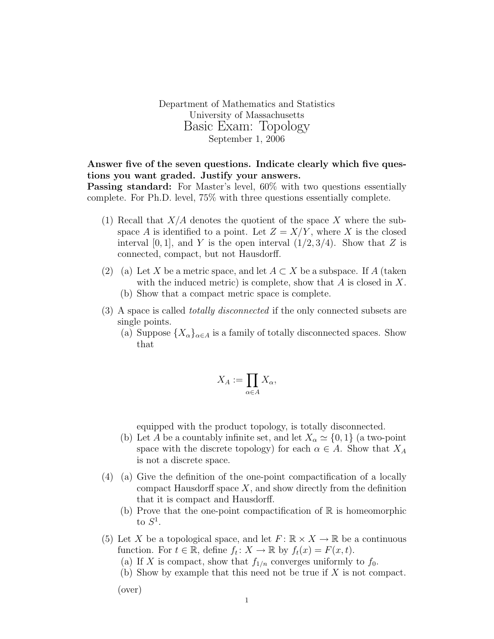Department of Mathematics and Statistics University of Massachusetts Basic Exam: Topology September 1, 2006

## Answer five of the seven questions. Indicate clearly which five questions you want graded. Justify your answers.

Passing standard: For Master's level, 60% with two questions essentially complete. For Ph.D. level, 75% with three questions essentially complete.

- (1) Recall that  $X/A$  denotes the quotient of the space X where the subspace A is identified to a point. Let  $Z = X/Y$ , where X is the closed interval [0, 1], and Y is the open interval  $(1/2, 3/4)$ . Show that Z is connected, compact, but not Hausdorff.
- (2) (a) Let X be a metric space, and let  $A \subset X$  be a subspace. If A (taken with the induced metric) is complete, show that  $A$  is closed in  $X$ .
	- (b) Show that a compact metric space is complete.
- (3) A space is called totally disconnected if the only connected subsets are single points.
	- (a) Suppose  $\{X_{\alpha}\}_{{\alpha}\in A}$  is a family of totally disconnected spaces. Show that

$$
X_A := \prod_{\alpha \in A} X_\alpha,
$$

equipped with the product topology, is totally disconnected.

- (b) Let A be a countably infinite set, and let  $X_{\alpha} \simeq \{0, 1\}$  (a two-point space with the discrete topology) for each  $\alpha \in A$ . Show that  $X_A$ is not a discrete space.
- (4) (a) Give the definition of the one-point compactification of a locally compact Hausdorff space  $X$ , and show directly from the definition that it is compact and Hausdorff.
	- (b) Prove that the one-point compactification of  $\mathbb R$  is homeomorphic to  $S^1$ .
- (5) Let X be a topological space, and let  $F: \mathbb{R} \times X \to \mathbb{R}$  be a continuous function. For  $t \in \mathbb{R}$ , define  $f_t \colon X \to \mathbb{R}$  by  $f_t(x) = F(x, t)$ .
	- (a) If X is compact, show that  $f_{1/n}$  converges uniformly to  $f_0$ .
	- (b) Show by example that this need not be true if X is not compact.

(over)